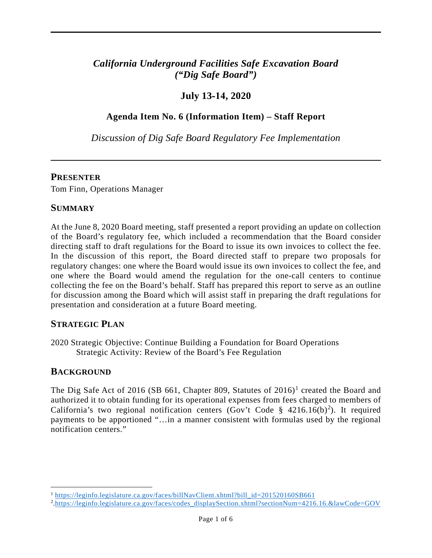# *California Underground Facilities Safe Excavation Board ("Dig Safe Board")*

## **July 13-14, 2020**

## **Agenda Item No. 6 (Information Item) – Staff Report**

*Discussion of Dig Safe Board Regulatory Fee Implementation* 

### **PRESENTER**

Tom Finn, Operations Manager

## **SUMMARY**

 At the June 8, 2020 Board meeting, staff presented a report providing an update on collection directing staff to draft regulations for the Board to issue its own invoices to collect the fee. In the discussion of this report, the Board directed staff to prepare two proposals for regulatory changes: one where the Board would issue its own invoices to collect the fee, and one where the Board would amend the regulation for the one-call centers to continue of the Board's regulatory fee, which included a recommendation that the Board consider collecting the fee on the Board's behalf. Staff has prepared this report to serve as an outline for discussion among the Board which will assist staff in preparing the draft regulations for presentation and consideration at a future Board meeting.

## **STRATEGIC PLAN**

2020 Strategic Objective: Continue Building a Foundation for Board Operations Strategic Activity: Review of the Board's Fee Regulation

## **BACKGROUND**

The Dig Safe Act of 2016 (SB 661, Chapter 809, Statutes of  $2016$ )<sup>1</sup> created the Board and authorized it to obtain funding for its operational expenses from fees charged to members of California's two regional notification centers (Gov't Code § 4[2](#page-0-1)16.16(b)<sup>2</sup>). It required payments to be apportioned "…in a manner consistent with formulas used by the regional notification centers."

<span id="page-0-0"></span><sup>&</sup>lt;sup>1</sup> [https://leginfo.legislature.ca.gov/faces/billNavClient.xhtml?bill\\_id=201520160SB661](https://leginfo.legislature.ca.gov/faces/billNavClient.xhtml?bill_id=201520160SB661) 2<br><sup>2</sup> https://leginfo.legislature.ca.gov/faces/codes\_displaySection.xhtml?sectionNum=4216

<span id="page-0-1"></span> [.https://leginfo.legislature.ca.gov/faces/codes\\_displaySection.xhtml?sectionNum=4216.16.&lawCode=GOV](https://leginfo.legislature.ca.gov/faces/codes_displaySection.xhtml?sectionNum=4216.16.&lawCode=GOV)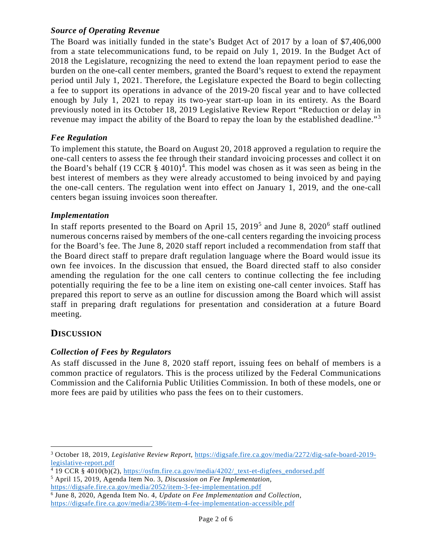### *Source of Operating Revenue*

 The Board was initially funded in the state's Budget Act of 2017 by a loan of \$7,406,000 from a state telecommunications fund, to be repaid on July 1, 2019. In the Budget Act of burden on the one-call center members, granted the Board's request to extend the repayment period until July 1, 2021. Therefore, the Legislature expected the Board to begin collecting a fee to support its operations in advance of the 2019-20 fiscal year and to have collected enough by July 1, 2021 to repay its two-year start-up loan in its entirety. As the Board 2018 the Legislature, recognizing the need to extend the loan repayment period to ease the previously noted in its October 18, 2019 Legislative Review Report "Reduction or delay in revenue may impact the ability of the Board to repay the loan by the established deadline."<sup>3</sup>

#### *Fee Regulation*

 To implement this statute, the Board on August 20, 2018 approved a regulation to require the one-call centers to assess the fee through their standard invoicing processes and collect it on the Board's behalf  $(19 \text{ CCR } \S 4010)^4$  $(19 \text{ CCR } \S 4010)^4$  $(19 \text{ CCR } \S 4010)^4$ . This model was chosen as it was seen as being in the best interest of members as they were already accustomed to being invoiced by and paying the one-call centers. The regulation went into effect on January 1, 2019, and the one-call centers began issuing invoices soon thereafter.

#### *Implementation*

 numerous concerns raised by members of the one-call centers regarding the invoicing process the Board direct staff to prepare draft regulation language where the Board would issue its amending the regulation for the one call centers to continue collecting the fee including potentially requiring the fee to be a line item on existing one-call center invoices. Staff has staff in preparing draft regulations for presentation and consideration at a future Board In staff reports presented to the Board on April 15,  $2019<sup>5</sup>$  and June 8,  $2020<sup>6</sup>$  staff outlined for the Board's fee. The June 8, 2020 staff report included a recommendation from staff that own fee invoices. In the discussion that ensued, the Board directed staff to also consider prepared this report to serve as an outline for discussion among the Board which will assist meeting.

## **DISCUSSION**

#### *Collection of Fees by Regulators*

 common practice of regulators. This is the process utilized by the Federal Communications Commission and the California Public Utilities Commission. In both of these models, one or more fees are paid by utilities who pass the fees on to their customers. As staff discussed in the June 8, 2020 staff report, issuing fees on behalf of members is a

<span id="page-1-0"></span><sup>3</sup> October 18, 2019, *Legislative Review Report*, [https://digsafe.fire.ca.gov/media/2272/dig-safe-board-2019](https://digsafe.fire.ca.gov/media/2272/dig-safe-board-2019-legislative-report.pdf) [legislative-report.pdf](https://digsafe.fire.ca.gov/media/2272/dig-safe-board-2019-legislative-report.pdf)

<span id="page-1-1"></span><sup>4 19</sup> CCR § 4010(b)(2), [https://osfm.fire.ca.gov/media/4202/\\_text-et-digfees\\_endorsed.pdf](https://osfm.fire.ca.gov/media/4202/_text-et-digfees_endorsed.pdf) 5 April 15, 2019, Agenda Item No. 3, *Discussion on Fee Implementation,* 

<span id="page-1-2"></span> <https://digsafe.fire.ca.gov/media/2052/item-3-fee-implementation.pdf>

<span id="page-1-3"></span>https://digsafe.fire.ca.gov/media/2386/item-4-fee-implementation-accessible.pdf<br>Page 2 of 6 6 June 8, 2020, Agenda Item No. 4, *Update on Fee Implementation and Collection,*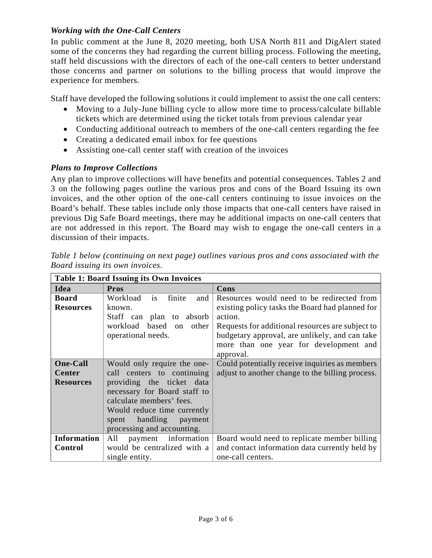### *Working with the One-Call Centers*

 In public comment at the June 8, 2020 meeting, both USA North 811 and DigAlert stated some of the concerns they had regarding the current billing process. Following the meeting, staff held discussions with the directors of each of the one-call centers to better understand those concerns and partner on solutions to the billing process that would improve the experience for members.

Staff have developed the following solutions it could implement to assist the one call centers:

- • Moving to a July-June billing cycle to allow more time to process/calculate billable tickets which are determined using the ticket totals from previous calendar year
- Conducting additional outreach to members of the one-call centers regarding the fee
- Creating a dedicated email inbox for fee questions
- Assisting one-call center staff with creation of the invoices

## *Plans to Improve Collections*

 Any plan to improve collections will have benefits and potential consequences. Tables 2 and 3 on the following pages outline the various pros and cons of the Board Issuing its own invoices, and the other option of the one-call centers continuing to issue invoices on the Board's behalf. These tables include only those impacts that one-call centers have raised in previous Dig Safe Board meetings, there may be additional impacts on one-call centers that are not addressed in this report. The Board may wish to engage the one-call centers in a discussion of their impacts.

| <b>Table 1: Board Issuing its Own Invoices</b> |                                            |                                                  |  |
|------------------------------------------------|--------------------------------------------|--------------------------------------------------|--|
| Idea                                           | <b>Pros</b>                                | Cons                                             |  |
| <b>Board</b>                                   | finite<br>Workload<br>and<br><sup>is</sup> | Resources would need to be redirected from       |  |
| <b>Resources</b>                               | known.                                     | existing policy tasks the Board had planned for  |  |
|                                                | Staff can plan to absorb                   | action.                                          |  |
|                                                | workload based<br>on other                 | Requests for additional resources are subject to |  |
|                                                | operational needs.                         | budgetary approval, are unlikely, and can take   |  |
|                                                |                                            | more than one year for development and           |  |
|                                                |                                            | approval.                                        |  |
| <b>One-Call</b>                                | Would only require the one-                | Could potentially receive inquiries as members   |  |
| Center                                         | call centers to continuing                 | adjust to another change to the billing process. |  |
| <b>Resources</b>                               | providing the ticket data                  |                                                  |  |
|                                                | necessary for Board staff to               |                                                  |  |
|                                                | calculate members' fees.                   |                                                  |  |
|                                                | Would reduce time currently                |                                                  |  |
|                                                | handling<br>spent<br>payment               |                                                  |  |
|                                                | processing and accounting.                 |                                                  |  |
| <b>Information</b>                             | payment information<br>All                 | Board would need to replicate member billing     |  |
| Control                                        | would be centralized with a                | and contact information data currently held by   |  |
|                                                | single entity.                             | one-call centers.                                |  |

 *Table 1 below (continuing on next page) outlines various pros and cons associated with the Board issuing its own invoices.*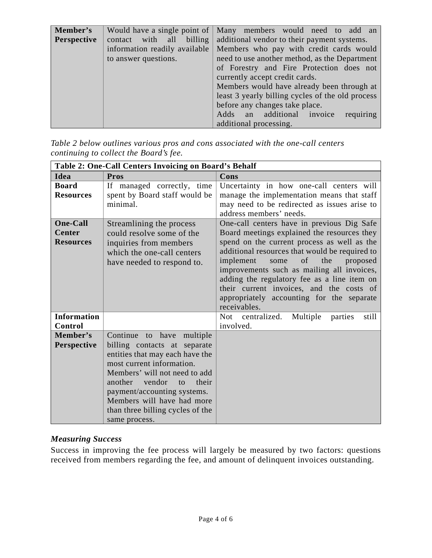| Member's    |                               | Would have a single point of   Many members would need to add an |
|-------------|-------------------------------|------------------------------------------------------------------|
| Perspective | contact with all billing      | additional vendor to their payment systems.                      |
|             | information readily available | Members who pay with credit cards would                          |
|             | to answer questions.          | need to use another method, as the Department                    |
|             |                               | of Forestry and Fire Protection does not                         |
|             |                               | currently accept credit cards.                                   |
|             |                               | Members would have already been through at                       |
|             |                               | least 3 yearly billing cycles of the old process                 |
|             |                               | before any changes take place.                                   |
|             |                               | requiring<br>Adds an additional invoice                          |
|             |                               | additional processing.                                           |

 *continuing to collect the Board's fee. Table 2 below outlines various pros and cons associated with the one-call centers* 

| Table 2: One-Call Centers Invoicing on Board's Behalf |                                                                                                                                                                                                                                                                                                                  |                                                                                                                                                                                                                                                                                                                                                                                                                                                |  |
|-------------------------------------------------------|------------------------------------------------------------------------------------------------------------------------------------------------------------------------------------------------------------------------------------------------------------------------------------------------------------------|------------------------------------------------------------------------------------------------------------------------------------------------------------------------------------------------------------------------------------------------------------------------------------------------------------------------------------------------------------------------------------------------------------------------------------------------|--|
| Idea                                                  | Pros                                                                                                                                                                                                                                                                                                             | Cons                                                                                                                                                                                                                                                                                                                                                                                                                                           |  |
| <b>Board</b><br><b>Resources</b>                      | If managed correctly, time<br>spent by Board staff would be<br>minimal.                                                                                                                                                                                                                                          | Uncertainty in how one-call centers will<br>manage the implementation means that staff<br>may need to be redirected as issues arise to<br>address members' needs.                                                                                                                                                                                                                                                                              |  |
| <b>One-Call</b><br><b>Center</b><br><b>Resources</b>  | Streamlining the process<br>could resolve some of the<br>inquiries from members<br>which the one-call centers<br>have needed to respond to.                                                                                                                                                                      | One-call centers have in previous Dig Safe<br>Board meetings explained the resources they<br>spend on the current process as well as the<br>additional resources that would be required to<br>implement<br>of<br>the<br>some<br>proposed<br>improvements such as mailing all invoices,<br>adding the regulatory fee as a line item on<br>their current invoices, and the costs of<br>appropriately accounting for the separate<br>receivables. |  |
| <b>Information</b><br>Control                         |                                                                                                                                                                                                                                                                                                                  | centralized.<br><b>Not</b><br>Multiple<br>parties<br>still<br>involved.                                                                                                                                                                                                                                                                                                                                                                        |  |
| Member's<br>Perspective                               | Continue to have multiple<br>billing contacts at separate<br>entities that may each have the<br>most current information.<br>Members' will not need to add<br>another<br>vendor<br>their<br>to<br>payment/accounting systems.<br>Members will have had more<br>than three billing cycles of the<br>same process. |                                                                                                                                                                                                                                                                                                                                                                                                                                                |  |

## *Measuring Success*

 Success in improving the fee process will largely be measured by two factors: questions received from members regarding the fee, and amount of delinquent invoices outstanding.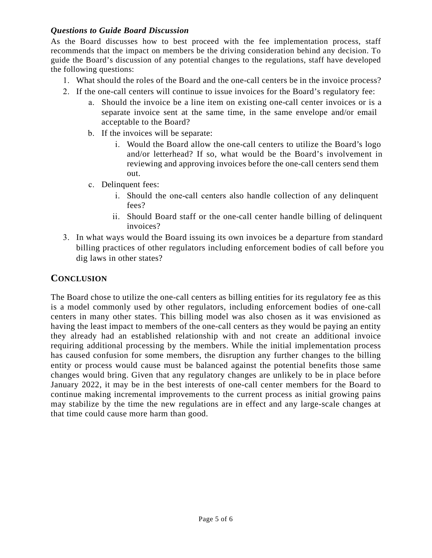### *Questions to Guide Board Discussion*

 recommends that the impact on members be the driving consideration behind any decision. To As the Board discusses how to best proceed with the fee implementation process, staff guide the Board's discussion of any potential changes to the regulations, staff have developed the following questions:

- 1. What should the roles of the Board and the one-call centers be in the invoice process?
- 2. If the one-call centers will continue to issue invoices for the Board's regulatory fee:
	- a. Should the invoice be a line item on existing one-call center invoices or is a acceptable to the Board? separate invoice sent at the same time, in the same envelope and/or email
	- b. If the invoices will be separate:
		- i. Would the Board allow the one-call centers to utilize the Board's logo reviewing and approving invoices before the one-call centers send them and/or letterhead? If so, what would be the Board's involvement in out.
	- c. Delinquent fees:
		- i. Should the one-call centers also handle collection of any delinquent fees?
		- ii. Should Board staff or the one-call center handle billing of delinquent invoices?
- 3. In what ways would the Board issuing its own invoices be a departure from standard billing practices of other regulators including enforcement bodies of call before you dig laws in other states?

## **CONCLUSION**

 The Board chose to utilize the one-call centers as billing entities for its regulatory fee as this having the least impact to members of the one-call centers as they would be paying an entity they already had an established relationship with and not create an additional invoice requiring additional processing by the members. While the initial implementation process has caused confusion for some members, the disruption any further changes to the billing January 2022, it may be in the best interests of one-call center members for the Board to that time could cause more harm than good. is a model commonly used by other regulators, including enforcement bodies of one-call centers in many other states. This billing model was also chosen as it was envisioned as entity or process would cause must be balanced against the potential benefits those same changes would bring. Given that any regulatory changes are unlikely to be in place before continue making incremental improvements to the current process as initial growing pains may stabilize by the time the new regulations are in effect and any large-scale changes at